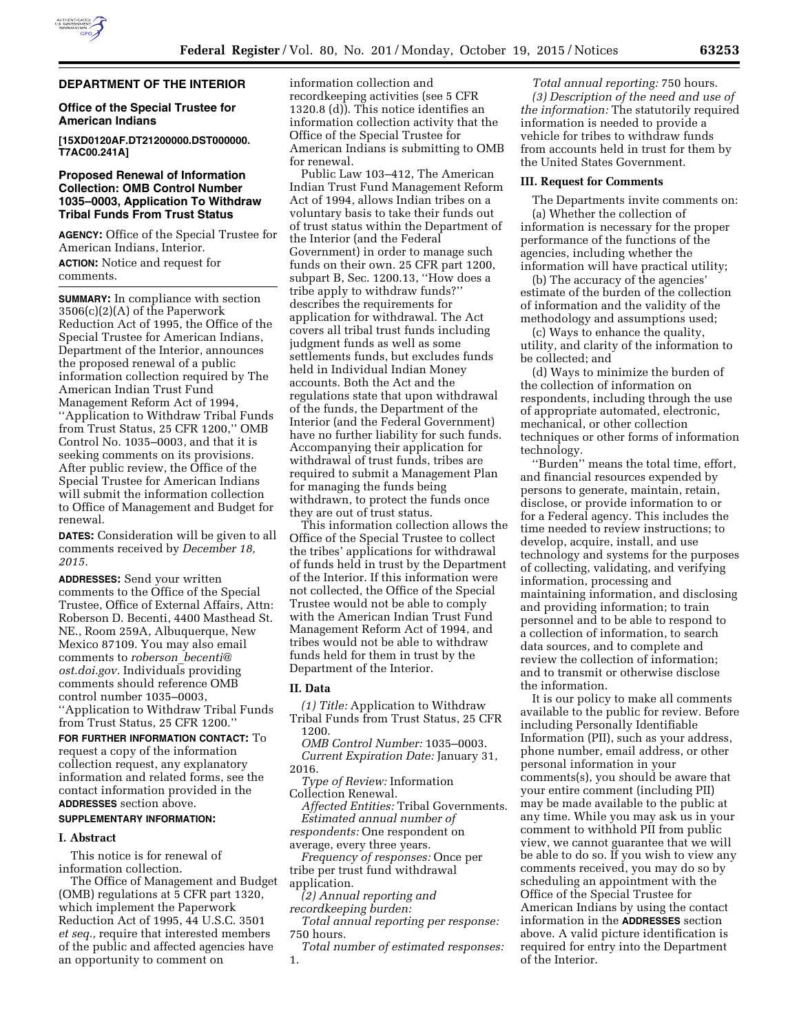

## **DEPARTMENT OF THE INTERIOR**

## **Office of the Special Trustee for American Indians**

**[15XD0120AF.DT21200000.DST000000. T7AC00.241A]** 

## **Proposed Renewal of Information Collection: OMB Control Number 1035–0003, Application To Withdraw Tribal Funds From Trust Status**

**AGENCY:** Office of the Special Trustee for American Indians, Interior. **ACTION:** Notice and request for comments.

**SUMMARY:** In compliance with section 3506(c)(2)(A) of the Paperwork Reduction Act of 1995, the Office of the Special Trustee for American Indians, Department of the Interior, announces the proposed renewal of a public information collection required by The American Indian Trust Fund Management Reform Act of 1994, ''Application to Withdraw Tribal Funds from Trust Status, 25 CFR 1200,'' OMB Control No. 1035–0003, and that it is seeking comments on its provisions. After public review, the Office of the Special Trustee for American Indians will submit the information collection to Office of Management and Budget for renewal.

**DATES:** Consideration will be given to all comments received by *December 18, 2015.* 

**ADDRESSES:** Send your written comments to the Office of the Special Trustee, Office of External Affairs, Attn: Roberson D. Becenti, 4400 Masthead St. NE., Room 259A, Albuquerque, New Mexico 87109. You may also email comments to *roberson*\_*[becenti@](mailto:roberson_becenti@ost.doi.gov) [ost.doi.gov.](mailto:roberson_becenti@ost.doi.gov)* Individuals providing comments should reference OMB control number 1035–0003, ''Application to Withdraw Tribal Funds from Trust Status, 25 CFR 1200.''

**FOR FURTHER INFORMATION CONTACT:** To request a copy of the information collection request, any explanatory information and related forms, see the contact information provided in the **ADDRESSES** section above.

### **SUPPLEMENTARY INFORMATION:**

### **I. Abstract**

This notice is for renewal of information collection.

The Office of Management and Budget (OMB) regulations at 5 CFR part 1320, which implement the Paperwork Reduction Act of 1995, 44 U.S.C. 3501 *et seq.,* require that interested members of the public and affected agencies have an opportunity to comment on

information collection and recordkeeping activities (see 5 CFR 1320.8 (d)). This notice identifies an information collection activity that the Office of the Special Trustee for American Indians is submitting to OMB for renewal.

Public Law 103–412, The American Indian Trust Fund Management Reform Act of 1994, allows Indian tribes on a voluntary basis to take their funds out of trust status within the Department of the Interior (and the Federal Government) in order to manage such funds on their own. 25 CFR part 1200, subpart B, Sec. 1200.13, ''How does a tribe apply to withdraw funds?'' describes the requirements for application for withdrawal. The Act covers all tribal trust funds including judgment funds as well as some settlements funds, but excludes funds held in Individual Indian Money accounts. Both the Act and the regulations state that upon withdrawal of the funds, the Department of the Interior (and the Federal Government) have no further liability for such funds. Accompanying their application for withdrawal of trust funds, tribes are required to submit a Management Plan for managing the funds being withdrawn, to protect the funds once they are out of trust status.

This information collection allows the Office of the Special Trustee to collect the tribes' applications for withdrawal of funds held in trust by the Department of the Interior. If this information were not collected, the Office of the Special Trustee would not be able to comply with the American Indian Trust Fund Management Reform Act of 1994, and tribes would not be able to withdraw funds held for them in trust by the Department of the Interior.

### **II. Data**

*(1) Title:* Application to Withdraw Tribal Funds from Trust Status, 25 CFR 1200.

*OMB Control Number:* 1035–0003. *Current Expiration Date:* January 31, 2016.

*Type of Review:* Information Collection Renewal.

*Affected Entities:* Tribal Governments. *Estimated annual number of respondents:* One respondent on

average, every three years.

*Frequency of responses:* Once per tribe per trust fund withdrawal application.

*(2) Annual reporting and recordkeeping burden:* 

*Total annual reporting per response:*  750 hours.

*Total number of estimated responses:*  1.

*Total annual reporting:* 750 hours. *(3) Description of the need and use of the information:* The statutorily required information is needed to provide a vehicle for tribes to withdraw funds from accounts held in trust for them by the United States Government.

### **III. Request for Comments**

The Departments invite comments on: (a) Whether the collection of information is necessary for the proper performance of the functions of the agencies, including whether the information will have practical utility;

(b) The accuracy of the agencies' estimate of the burden of the collection of information and the validity of the methodology and assumptions used;

(c) Ways to enhance the quality, utility, and clarity of the information to be collected; and

(d) Ways to minimize the burden of the collection of information on respondents, including through the use of appropriate automated, electronic, mechanical, or other collection techniques or other forms of information technology.

''Burden'' means the total time, effort, and financial resources expended by persons to generate, maintain, retain, disclose, or provide information to or for a Federal agency. This includes the time needed to review instructions; to develop, acquire, install, and use technology and systems for the purposes of collecting, validating, and verifying information, processing and maintaining information, and disclosing and providing information; to train personnel and to be able to respond to a collection of information, to search data sources, and to complete and review the collection of information; and to transmit or otherwise disclose the information.

It is our policy to make all comments available to the public for review. Before including Personally Identifiable Information (PII), such as your address, phone number, email address, or other personal information in your comments(s), you should be aware that your entire comment (including PII) may be made available to the public at any time. While you may ask us in your comment to withhold PII from public view, we cannot guarantee that we will be able to do so. If you wish to view any comments received, you may do so by scheduling an appointment with the Office of the Special Trustee for American Indians by using the contact information in the **ADDRESSES** section above. A valid picture identification is required for entry into the Department of the Interior.